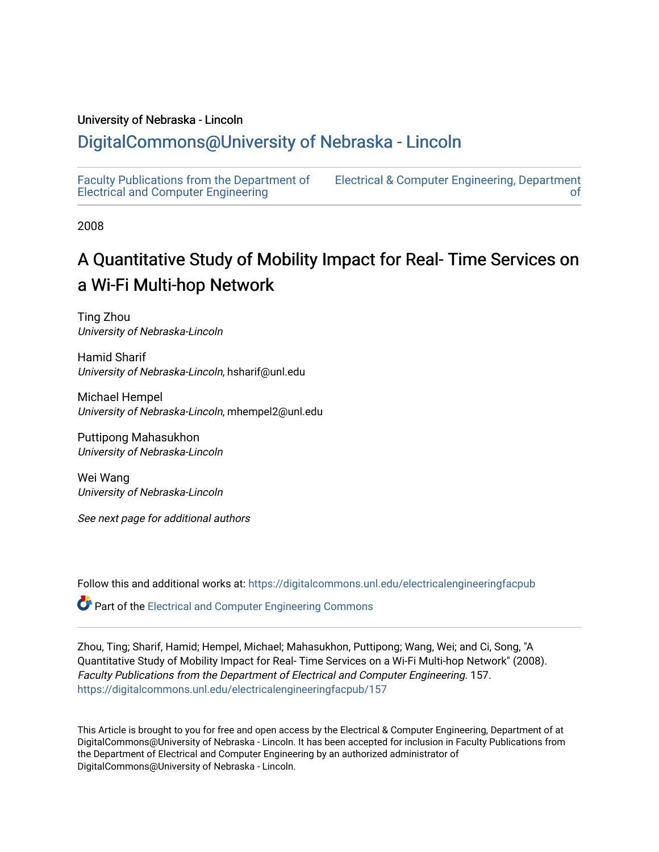# University of Nebraska - Lincoln

# [DigitalCommons@University of Nebraska - Lincoln](https://digitalcommons.unl.edu/)

[Faculty Publications from the Department of](https://digitalcommons.unl.edu/electricalengineeringfacpub) [Electrical and Computer Engineering](https://digitalcommons.unl.edu/electricalengineeringfacpub) [Electrical & Computer Engineering, Department](https://digitalcommons.unl.edu/electricalengineering)  [of](https://digitalcommons.unl.edu/electricalengineering) 

2008

# A Quantitative Study of Mobility Impact for Real- Time Services on a Wi-Fi Multi-hop Network

Ting Zhou University of Nebraska-Lincoln

Hamid Sharif University of Nebraska-Lincoln, hsharif@unl.edu

Michael Hempel University of Nebraska-Lincoln, mhempel2@unl.edu

Puttipong Mahasukhon University of Nebraska-Lincoln

Wei Wang University of Nebraska-Lincoln

See next page for additional authors

Follow this and additional works at: [https://digitalcommons.unl.edu/electricalengineeringfacpub](https://digitalcommons.unl.edu/electricalengineeringfacpub?utm_source=digitalcommons.unl.edu%2Felectricalengineeringfacpub%2F157&utm_medium=PDF&utm_campaign=PDFCoverPages) 

Part of the [Electrical and Computer Engineering Commons](http://network.bepress.com/hgg/discipline/266?utm_source=digitalcommons.unl.edu%2Felectricalengineeringfacpub%2F157&utm_medium=PDF&utm_campaign=PDFCoverPages) 

Zhou, Ting; Sharif, Hamid; Hempel, Michael; Mahasukhon, Puttipong; Wang, Wei; and Ci, Song, "A Quantitative Study of Mobility Impact for Real- Time Services on a Wi-Fi Multi-hop Network" (2008). Faculty Publications from the Department of Electrical and Computer Engineering. 157. [https://digitalcommons.unl.edu/electricalengineeringfacpub/157](https://digitalcommons.unl.edu/electricalengineeringfacpub/157?utm_source=digitalcommons.unl.edu%2Felectricalengineeringfacpub%2F157&utm_medium=PDF&utm_campaign=PDFCoverPages) 

This Article is brought to you for free and open access by the Electrical & Computer Engineering, Department of at DigitalCommons@University of Nebraska - Lincoln. It has been accepted for inclusion in Faculty Publications from the Department of Electrical and Computer Engineering by an authorized administrator of DigitalCommons@University of Nebraska - Lincoln.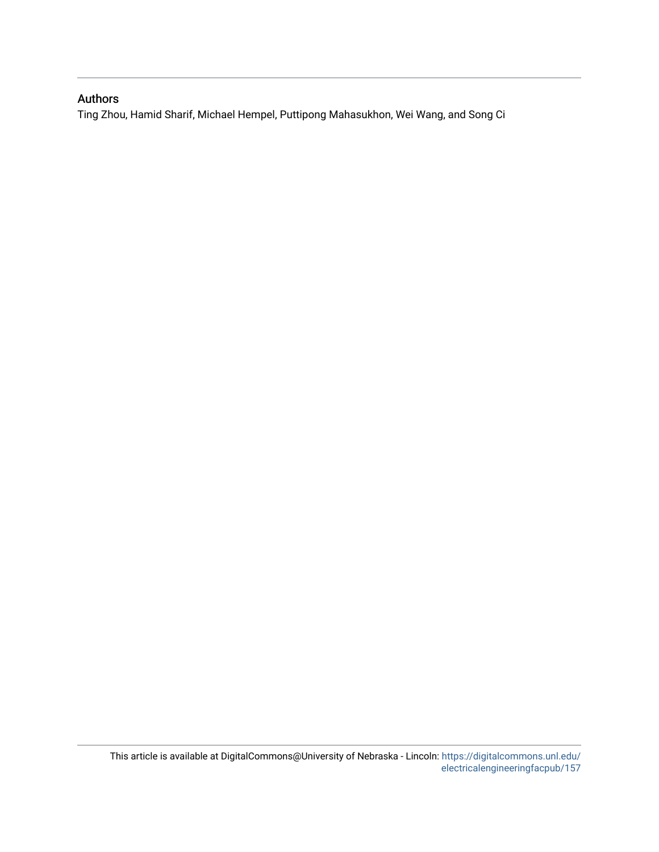# Authors

Ting Zhou, Hamid Sharif, Michael Hempel, Puttipong Mahasukhon, Wei Wang, and Song Ci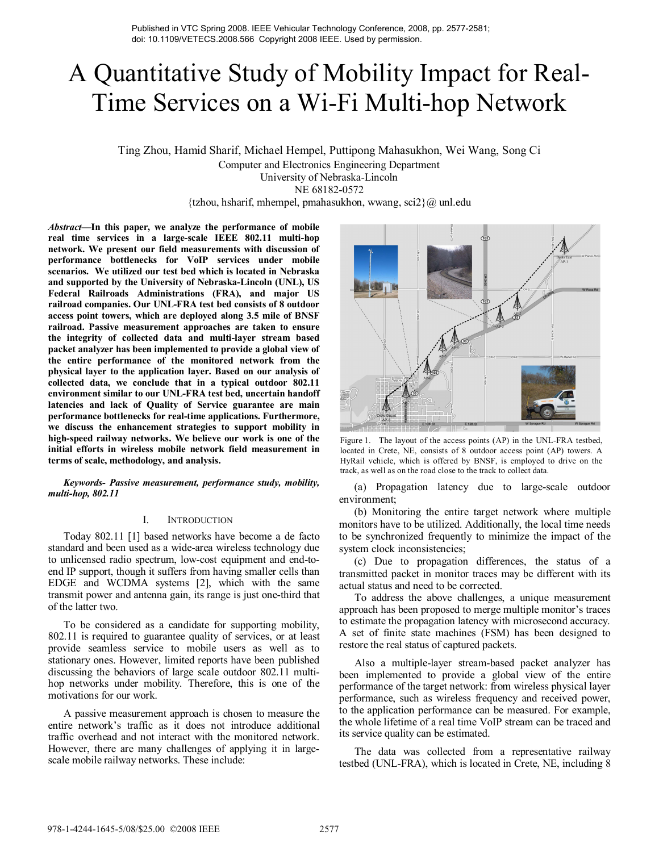# A Quantitative Study of Mobility Impact for Real-Time Services on a Wi-Fi Multi-hop Network

Ting Zhou, Hamid Sharif, Michael Hempel, Puttipong Mahasukhon, Wei Wang, Song Ci

Computer and Electronics Engineering Department

University of Nebraska-Lincoln

NE 68182-0572

 $\{\text{tzhou}, \text{hsharif}, \text{mhempel}, \text{pmahasukhon}, \text{wwang}, \text{sci2}\}\}\$ a unl.edu

*Abstract***—In this paper, we analyze the performance of mobile real time services in a large-scale IEEE 802.11 multi-hop network. We present our field measurements with discussion of performance bottlenecks for VoIP services under mobile scenarios. We utilized our test bed which is located in Nebraska and supported by the University of Nebraska-Lincoln (UNL), US Federal Railroads Administrations (FRA), and major US railroad companies. Our UNL-FRA test bed consists of 8 outdoor access point towers, which are deployed along 3.5 mile of BNSF railroad. Passive measurement approaches are taken to ensure the integrity of collected data and multi-layer stream based packet analyzer has been implemented to provide a global view of the entire performance of the monitored network from the physical layer to the application layer. Based on our analysis of collected data, we conclude that in a typical outdoor 802.11 environment similar to our UNL-FRA test bed, uncertain handoff latencies and lack of Quality of Service guarantee are main performance bottlenecks for real-time applications. Furthermore, we discuss the enhancement strategies to support mobility in high-speed railway networks. We believe our work is one of the initial efforts in wireless mobile network field measurement in terms of scale, methodology, and analysis.** 

*Keywords- Passive measurement, performance study, mobility, multi-hop, 802.11* 

## I. INTRODUCTION

Today 802.11 [1] based networks have become a de facto standard and been used as a wide-area wireless technology due to unlicensed radio spectrum, low-cost equipment and end-toend IP support, though it suffers from having smaller cells than EDGE and WCDMA systems [2], which with the same transmit power and antenna gain, its range is just one-third that of the latter two.

To be considered as a candidate for supporting mobility, 802.11 is required to guarantee quality of services, or at least provide seamless service to mobile users as well as to stationary ones. However, limited reports have been published discussing the behaviors of large scale outdoor 802.11 multihop networks under mobility. Therefore, this is one of the motivations for our work.

A passive measurement approach is chosen to measure the entire network's traffic as it does not introduce additional traffic overhead and not interact with the monitored network. However, there are many challenges of applying it in largescale mobile railway networks. These include:



Figure 1. The layout of the access points (AP) in the UNL-FRA testbed, located in Crete, NE, consists of 8 outdoor access point (AP) towers. A HyRail vehicle, which is offered by BNSF, is employed to drive on the track, as well as on the road close to the track to collect data.

(a) Propagation latency due to large-scale outdoor environment;

(b) Monitoring the entire target network where multiple monitors have to be utilized. Additionally, the local time needs to be synchronized frequently to minimize the impact of the system clock inconsistencies;

(c) Due to propagation differences, the status of a transmitted packet in monitor traces may be different with its actual status and need to be corrected.

To address the above challenges, a unique measurement approach has been proposed to merge multiple monitor's traces to estimate the propagation latency with microsecond accuracy. A set of finite state machines (FSM) has been designed to restore the real status of captured packets.

Also a multiple-layer stream-based packet analyzer has been implemented to provide a global view of the entire performance of the target network: from wireless physical layer performance, such as wireless frequency and received power, to the application performance can be measured. For example, the whole lifetime of a real time VoIP stream can be traced and its service quality can be estimated.

The data was collected from a representative railway testbed (UNL-FRA), which is located in Crete, NE, including 8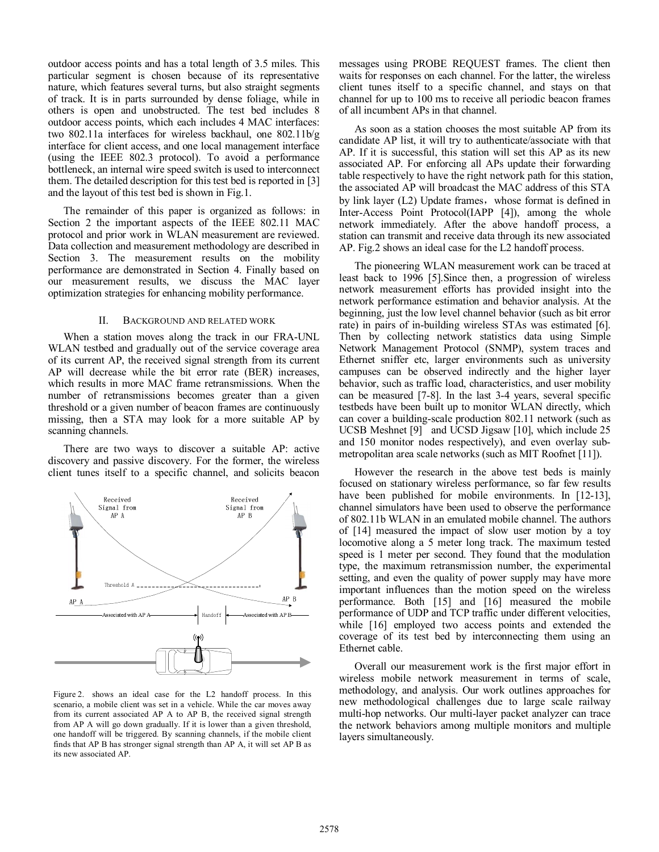outdoor access points and has a total length of 3.5 miles. This particular segment is chosen because of its representative nature, which features several turns, but also straight segments of track. It is in parts surrounded by dense foliage, while in others is open and unobstructed. The test bed includes 8 outdoor access points, which each includes 4 MAC interfaces: two 802.11a interfaces for wireless backhaul, one 802.11b/g interface for client access, and one local management interface (using the IEEE 802.3 protocol). To avoid a performance bottleneck, an internal wire speed switch is used to interconnect them. The detailed description for this test bed is reported in [3] and the layout of this test bed is shown in Fig.1.

The remainder of this paper is organized as follows: in Section 2 the important aspects of the IEEE 802.11 MAC protocol and prior work in WLAN measurement are reviewed. Data collection and measurement methodology are described in Section 3. The measurement results on the mobility performance are demonstrated in Section 4. Finally based on our measurement results, we discuss the MAC layer optimization strategies for enhancing mobility performance.

#### II. BACKGROUND AND RELATED WORK

When a station moves along the track in our FRA-UNL WLAN testbed and gradually out of the service coverage area of its current AP, the received signal strength from its current AP will decrease while the bit error rate (BER) increases, which results in more MAC frame retransmissions. When the number of retransmissions becomes greater than a given threshold or a given number of beacon frames are continuously missing, then a STA may look for a more suitable AP by scanning channels.

There are two ways to discover a suitable AP: active discovery and passive discovery. For the former, the wireless client tunes itself to a specific channel, and solicits beacon



Figure 2. shows an ideal case for the L2 handoff process. In this scenario, a mobile client was set in a vehicle. While the car moves away from its current associated AP A to AP B, the received signal strength from AP A will go down gradually. If it is lower than a given threshold, one handoff will be triggered. By scanning channels, if the mobile client finds that AP B has stronger signal strength than AP A, it will set AP B as its new associated AP.

messages using PROBE REQUEST frames. The client then waits for responses on each channel. For the latter, the wireless client tunes itself to a specific channel, and stays on that channel for up to 100 ms to receive all periodic beacon frames of all incumbent APs in that channel.

As soon as a station chooses the most suitable AP from its candidate AP list, it will try to authenticate/associate with that AP. If it is successful, this station will set this AP as its new associated AP. For enforcing all APs update their forwarding table respectively to have the right network path for this station, the associated AP will broadcast the MAC address of this STA by link layer  $(L2)$  Update frames, whose format is defined in Inter-Access Point Protocol(IAPP [4]), among the whole network immediately. After the above handoff process, a station can transmit and receive data through its new associated AP. Fig.2 shows an ideal case for the L2 handoff process.

The pioneering WLAN measurement work can be traced at least back to 1996 [5].Since then, a progression of wireless network measurement efforts has provided insight into the network performance estimation and behavior analysis. At the beginning, just the low level channel behavior (such as bit error rate) in pairs of in-building wireless STAs was estimated [6]. Then by collecting network statistics data using Simple Network Management Protocol (SNMP), system traces and Ethernet sniffer etc, larger environments such as university campuses can be observed indirectly and the higher layer behavior, such as traffic load, characteristics, and user mobility can be measured [7-8]. In the last 3-4 years, several specific testbeds have been built up to monitor WLAN directly, which can cover a building-scale production 802.11 network (such as UCSB Meshnet [9] and UCSD Jigsaw [10], which include 25 and 150 monitor nodes respectively), and even overlay submetropolitan area scale networks (such as MIT Roofnet [11]).

However the research in the above test beds is mainly focused on stationary wireless performance, so far few results have been published for mobile environments. In [12-13], channel simulators have been used to observe the performance of 802.11b WLAN in an emulated mobile channel. The authors of [14] measured the impact of slow user motion by a toy locomotive along a 5 meter long track. The maximum tested speed is 1 meter per second. They found that the modulation type, the maximum retransmission number, the experimental setting, and even the quality of power supply may have more important influences than the motion speed on the wireless performance. Both [15] and [16] measured the mobile performance of UDP and TCP traffic under different velocities, while [16] employed two access points and extended the coverage of its test bed by interconnecting them using an Ethernet cable.

Overall our measurement work is the first major effort in wireless mobile network measurement in terms of scale, methodology, and analysis. Our work outlines approaches for new methodological challenges due to large scale railway multi-hop networks. Our multi-layer packet analyzer can trace the network behaviors among multiple monitors and multiple layers simultaneously.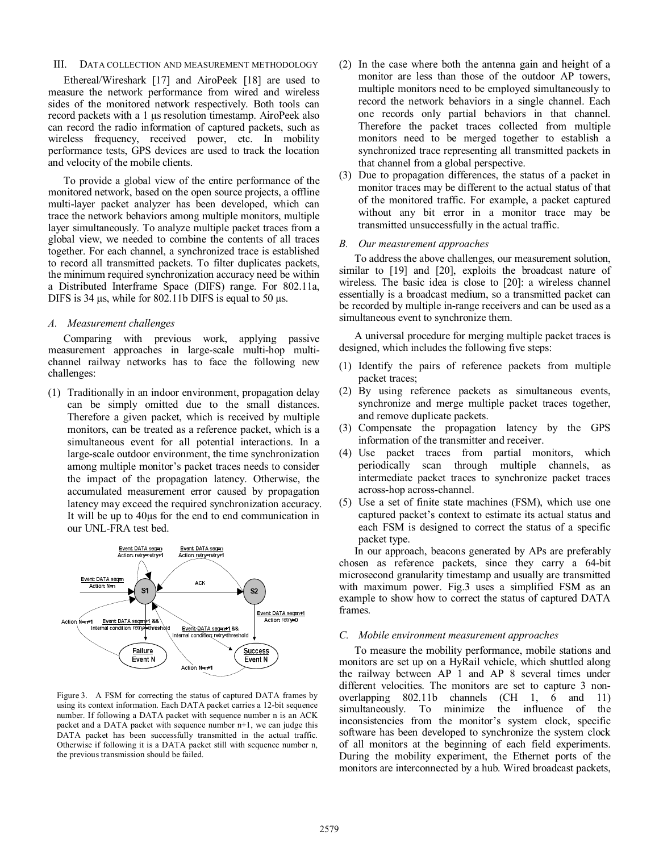#### III. DATA COLLECTION AND MEASUREMENT METHODOLOGY

Ethereal/Wireshark [17] and AiroPeek [18] are used to measure the network performance from wired and wireless sides of the monitored network respectively. Both tools can record packets with a 1 µs resolution timestamp. AiroPeek also can record the radio information of captured packets, such as wireless frequency, received power, etc. In mobility performance tests, GPS devices are used to track the location and velocity of the mobile clients.

To provide a global view of the entire performance of the monitored network, based on the open source projects, a offline multi-layer packet analyzer has been developed, which can trace the network behaviors among multiple monitors, multiple layer simultaneously. To analyze multiple packet traces from a global view, we needed to combine the contents of all traces together. For each channel, a synchronized trace is established to record all transmitted packets. To filter duplicates packets, the minimum required synchronization accuracy need be within a Distributed Interframe Space (DIFS) range. For 802.11a, DIFS is 34  $\mu$ s, while for 802.11b DIFS is equal to 50  $\mu$ s.

#### *A. Measurement challenges*

Comparing with previous work, applying passive measurement approaches in large-scale multi-hop multichannel railway networks has to face the following new challenges:

(1) Traditionally in an indoor environment, propagation delay can be simply omitted due to the small distances. Therefore a given packet, which is received by multiple monitors, can be treated as a reference packet, which is a simultaneous event for all potential interactions. In a large-scale outdoor environment, the time synchronization among multiple monitor's packet traces needs to consider the impact of the propagation latency. Otherwise, the accumulated measurement error caused by propagation latency may exceed the required synchronization accuracy. It will be up to 40µs for the end to end communication in our UNL-FRA test bed.



Figure 3. A FSM for correcting the status of captured DATA frames by using its context information. Each DATA packet carries a 12-bit sequence number. If following a DATA packet with sequence number n is an ACK packet and a DATA packet with sequence number n+1, we can judge this DATA packet has been successfully transmitted in the actual traffic. Otherwise if following it is a DATA packet still with sequence number n, the previous transmission should be failed.

- (2) In the case where both the antenna gain and height of a monitor are less than those of the outdoor AP towers, multiple monitors need to be employed simultaneously to record the network behaviors in a single channel. Each one records only partial behaviors in that channel. Therefore the packet traces collected from multiple monitors need to be merged together to establish a synchronized trace representing all transmitted packets in that channel from a global perspective.
- (3) Due to propagation differences, the status of a packet in monitor traces may be different to the actual status of that of the monitored traffic. For example, a packet captured without any bit error in a monitor trace may be transmitted unsuccessfully in the actual traffic.

## *B. Our measurement approaches*

To address the above challenges, our measurement solution, similar to [19] and [20], exploits the broadcast nature of wireless. The basic idea is close to [20]: a wireless channel essentially is a broadcast medium, so a transmitted packet can be recorded by multiple in-range receivers and can be used as a simultaneous event to synchronize them.

A universal procedure for merging multiple packet traces is designed, which includes the following five steps:

- (1) Identify the pairs of reference packets from multiple packet traces;
- (2) By using reference packets as simultaneous events, synchronize and merge multiple packet traces together, and remove duplicate packets.
- (3) Compensate the propagation latency by the GPS information of the transmitter and receiver.
- (4) Use packet traces from partial monitors, which periodically scan through multiple channels, as intermediate packet traces to synchronize packet traces across-hop across-channel.
- (5) Use a set of finite state machines (FSM), which use one captured packet's context to estimate its actual status and each FSM is designed to correct the status of a specific packet type.

In our approach, beacons generated by APs are preferably chosen as reference packets, since they carry a 64-bit microsecond granularity timestamp and usually are transmitted with maximum power. Fig.3 uses a simplified FSM as an example to show how to correct the status of captured DATA frames.

## *C. Mobile environment measurement approaches*

To measure the mobility performance, mobile stations and monitors are set up on a HyRail vehicle, which shuttled along the railway between AP 1 and AP 8 several times under different velocities. The monitors are set to capture 3 nonoverlapping 802.11b channels (CH 1, 6 and 11) simultaneously. To minimize the influence of the inconsistencies from the monitor's system clock, specific software has been developed to synchronize the system clock of all monitors at the beginning of each field experiments. During the mobility experiment, the Ethernet ports of the monitors are interconnected by a hub. Wired broadcast packets,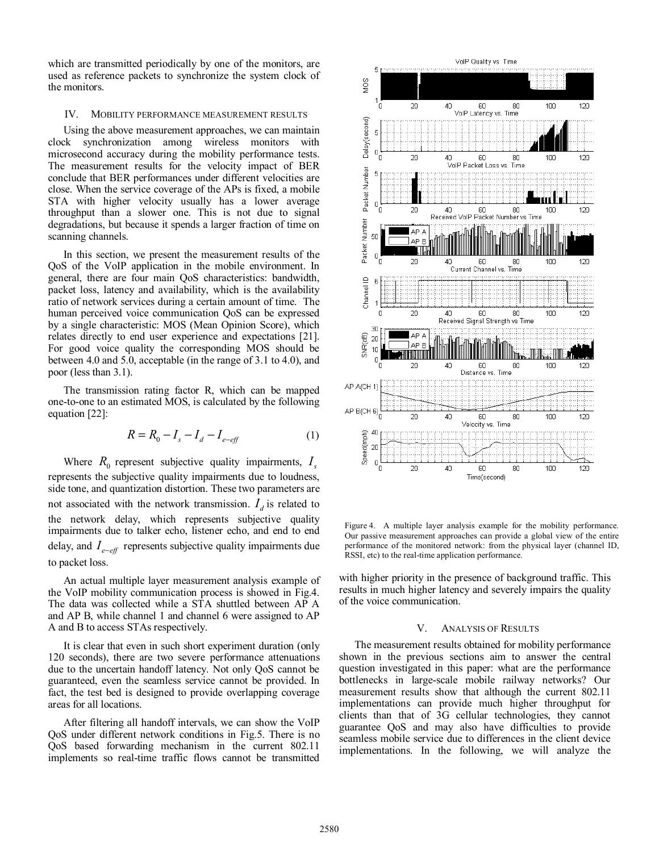which are transmitted periodically by one of the monitors, are used as reference packets to synchronize the system clock of the monitors.

#### IV. MOBILITY PERFORMANCE MEASUREMENT RESULTS

Using the above measurement approaches, we can maintain clock synchronization among wireless monitors with microsecond accuracy during the mobility performance tests. The measurement results for the velocity impact of BER conclude that BER performances under different velocities are close. When the service coverage of the APs is fixed, a mobile STA with higher velocity usually has a lower average throughput than a slower one. This is not due to signal degradations, but because it spends a larger fraction of time on scanning channels.

In this section, we present the measurement results of the QoS of the VoIP application in the mobile environment. In general, there are four main QoS characteristics: bandwidth, packet loss, latency and availability, which is the availability ratio of network services during a certain amount of time. The human perceived voice communication QoS can be expressed by a single characteristic: MOS (Mean Opinion Score), which relates directly to end user experience and expectations [21]. For good voice quality the corresponding MOS should be between 4.0 and 5.0, acceptable (in the range of 3.1 to 4.0), and poor (less than 3.1).

The transmission rating factor R, which can be mapped one-to-one to an estimated MOS, is calculated by the following equation [22]:

$$
R = R_0 - I_s - I_d - I_{e-eff}
$$
 (1)

Where  $R_0$  represent subjective quality impairments,  $I_s$ represents the subjective quality impairments due to loudness, side tone, and quantization distortion. These two parameters are not associated with the network transmission.  $I<sub>d</sub>$  is related to the network delay, which represents subjective quality impairments due to talker echo, listener echo, and end to end delay, and  $I_{e-eff}$  represents subjective quality impairments due to packet loss.

An actual multiple layer measurement analysis example of the VoIP mobility communication process is showed in Fig.4. The data was collected while a STA shuttled between AP A and AP B, while channel 1 and channel 6 were assigned to AP A and B to access STAs respectively.

It is clear that even in such short experiment duration (only 120 seconds), there are two severe performance attenuations due to the uncertain handoff latency. Not only QoS cannot be guaranteed, even the seamless service cannot be provided. In fact, the test bed is designed to provide overlapping coverage areas for all locations.

After filtering all handoff intervals, we can show the VoIP QoS under different network conditions in Fig.5. There is no QoS based forwarding mechanism in the current 802.11 implements so real-time traffic flows cannot be transmitted



Figure 4. A multiple layer analysis example for the mobility performance. Our passive measurement approaches can provide a global view of the entire performance of the monitored network: from the physical layer (channel ID, RSSI, etc) to the real-time application performance.

with higher priority in the presence of background traffic. This results in much higher latency and severely impairs the quality of the voice communication.

#### V. ANALYSIS OF RESULTS

The measurement results obtained for mobility performance shown in the previous sections aim to answer the central question investigated in this paper: what are the performance bottlenecks in large-scale mobile railway networks? Our measurement results show that although the current 802.11 implementations can provide much higher throughput for clients than that of 3G cellular technologies, they cannot guarantee QoS and may also have difficulties to provide seamless mobile service due to differences in the client device implementations. In the following, we will analyze the